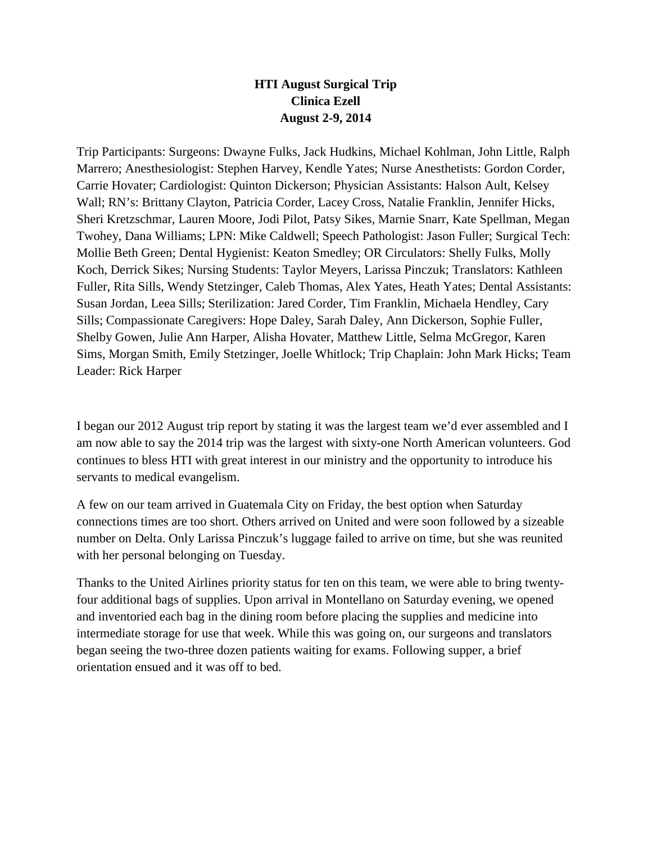## **HTI August Surgical Trip Clinica Ezell August 2-9, 2014**

Trip Participants: Surgeons: Dwayne Fulks, Jack Hudkins, Michael Kohlman, John Little, Ralph Marrero; Anesthesiologist: Stephen Harvey, Kendle Yates; Nurse Anesthetists: Gordon Corder, Carrie Hovater; Cardiologist: Quinton Dickerson; Physician Assistants: Halson Ault, Kelsey Wall; RN's: Brittany Clayton, Patricia Corder, Lacey Cross, Natalie Franklin, Jennifer Hicks, Sheri Kretzschmar, Lauren Moore, Jodi Pilot, Patsy Sikes, Marnie Snarr, Kate Spellman, Megan Twohey, Dana Williams; LPN: Mike Caldwell; Speech Pathologist: Jason Fuller; Surgical Tech: Mollie Beth Green; Dental Hygienist: Keaton Smedley; OR Circulators: Shelly Fulks, Molly Koch, Derrick Sikes; Nursing Students: Taylor Meyers, Larissa Pinczuk; Translators: Kathleen Fuller, Rita Sills, Wendy Stetzinger, Caleb Thomas, Alex Yates, Heath Yates; Dental Assistants: Susan Jordan, Leea Sills; Sterilization: Jared Corder, Tim Franklin, Michaela Hendley, Cary Sills; Compassionate Caregivers: Hope Daley, Sarah Daley, Ann Dickerson, Sophie Fuller, Shelby Gowen, Julie Ann Harper, Alisha Hovater, Matthew Little, Selma McGregor, Karen Sims, Morgan Smith, Emily Stetzinger, Joelle Whitlock; Trip Chaplain: John Mark Hicks; Team Leader: Rick Harper

I began our 2012 August trip report by stating it was the largest team we'd ever assembled and I am now able to say the 2014 trip was the largest with sixty-one North American volunteers. God continues to bless HTI with great interest in our ministry and the opportunity to introduce his servants to medical evangelism.

A few on our team arrived in Guatemala City on Friday, the best option when Saturday connections times are too short. Others arrived on United and were soon followed by a sizeable number on Delta. Only Larissa Pinczuk's luggage failed to arrive on time, but she was reunited with her personal belonging on Tuesday.

Thanks to the United Airlines priority status for ten on this team, we were able to bring twentyfour additional bags of supplies. Upon arrival in Montellano on Saturday evening, we opened and inventoried each bag in the dining room before placing the supplies and medicine into intermediate storage for use that week. While this was going on, our surgeons and translators began seeing the two-three dozen patients waiting for exams. Following supper, a brief orientation ensued and it was off to bed.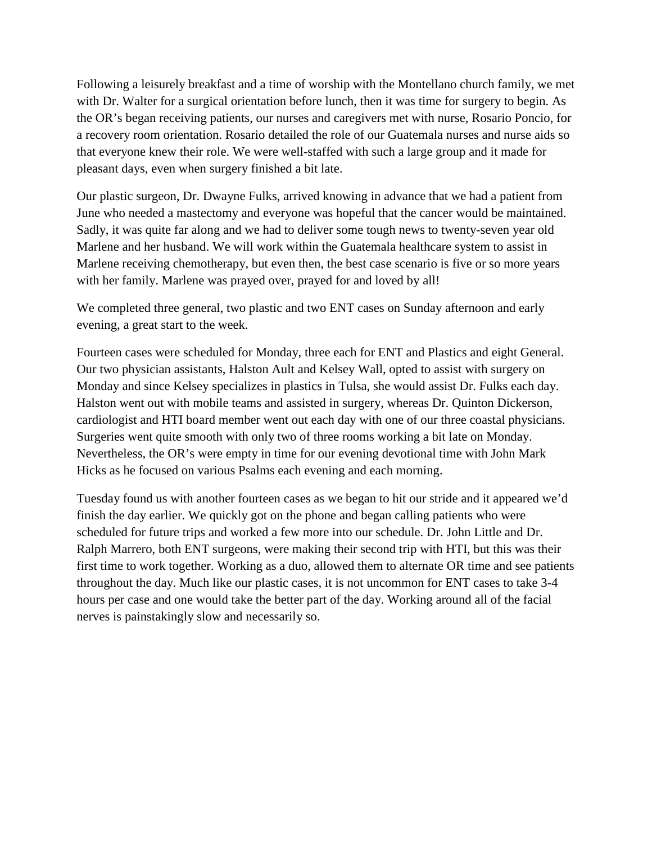Following a leisurely breakfast and a time of worship with the Montellano church family, we met with Dr. Walter for a surgical orientation before lunch, then it was time for surgery to begin. As the OR's began receiving patients, our nurses and caregivers met with nurse, Rosario Poncio, for a recovery room orientation. Rosario detailed the role of our Guatemala nurses and nurse aids so that everyone knew their role. We were well-staffed with such a large group and it made for pleasant days, even when surgery finished a bit late.

Our plastic surgeon, Dr. Dwayne Fulks, arrived knowing in advance that we had a patient from June who needed a mastectomy and everyone was hopeful that the cancer would be maintained. Sadly, it was quite far along and we had to deliver some tough news to twenty-seven year old Marlene and her husband. We will work within the Guatemala healthcare system to assist in Marlene receiving chemotherapy, but even then, the best case scenario is five or so more years with her family. Marlene was prayed over, prayed for and loved by all!

We completed three general, two plastic and two ENT cases on Sunday afternoon and early evening, a great start to the week.

Fourteen cases were scheduled for Monday, three each for ENT and Plastics and eight General. Our two physician assistants, Halston Ault and Kelsey Wall, opted to assist with surgery on Monday and since Kelsey specializes in plastics in Tulsa, she would assist Dr. Fulks each day. Halston went out with mobile teams and assisted in surgery, whereas Dr. Quinton Dickerson, cardiologist and HTI board member went out each day with one of our three coastal physicians. Surgeries went quite smooth with only two of three rooms working a bit late on Monday. Nevertheless, the OR's were empty in time for our evening devotional time with John Mark Hicks as he focused on various Psalms each evening and each morning.

Tuesday found us with another fourteen cases as we began to hit our stride and it appeared we'd finish the day earlier. We quickly got on the phone and began calling patients who were scheduled for future trips and worked a few more into our schedule. Dr. John Little and Dr. Ralph Marrero, both ENT surgeons, were making their second trip with HTI, but this was their first time to work together. Working as a duo, allowed them to alternate OR time and see patients throughout the day. Much like our plastic cases, it is not uncommon for ENT cases to take 3-4 hours per case and one would take the better part of the day. Working around all of the facial nerves is painstakingly slow and necessarily so.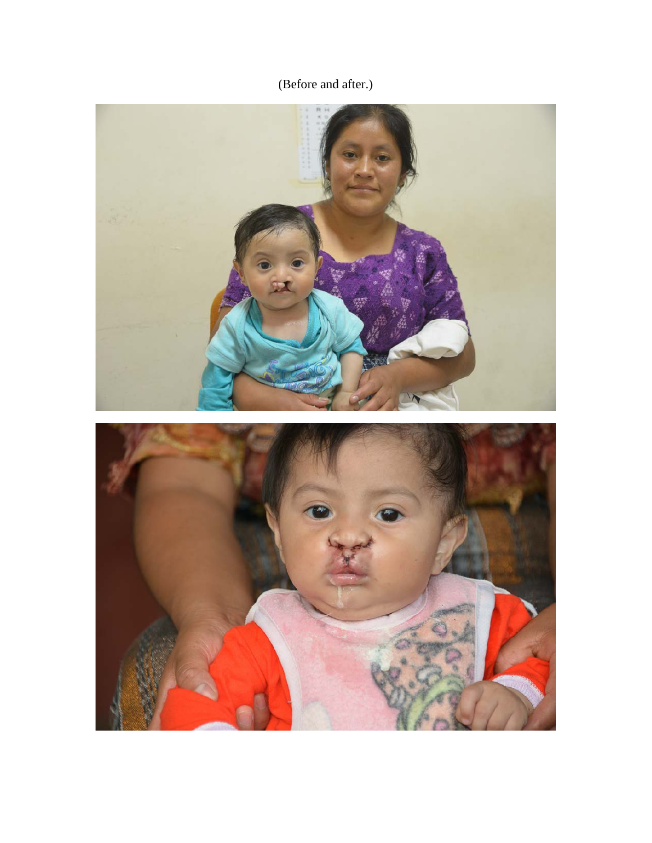(Before and after.)

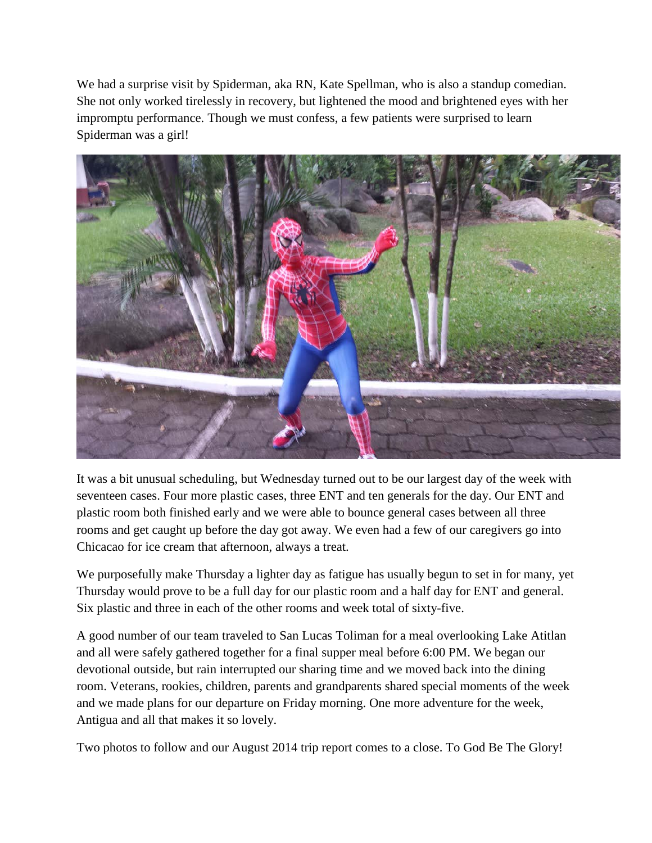We had a surprise visit by Spiderman, aka RN, Kate Spellman, who is also a standup comedian. She not only worked tirelessly in recovery, but lightened the mood and brightened eyes with her impromptu performance. Though we must confess, a few patients were surprised to learn Spiderman was a girl!



It was a bit unusual scheduling, but Wednesday turned out to be our largest day of the week with seventeen cases. Four more plastic cases, three ENT and ten generals for the day. Our ENT and plastic room both finished early and we were able to bounce general cases between all three rooms and get caught up before the day got away. We even had a few of our caregivers go into Chicacao for ice cream that afternoon, always a treat.

We purposefully make Thursday a lighter day as fatigue has usually begun to set in for many, yet Thursday would prove to be a full day for our plastic room and a half day for ENT and general. Six plastic and three in each of the other rooms and week total of sixty-five.

A good number of our team traveled to San Lucas Toliman for a meal overlooking Lake Atitlan and all were safely gathered together for a final supper meal before 6:00 PM. We began our devotional outside, but rain interrupted our sharing time and we moved back into the dining room. Veterans, rookies, children, parents and grandparents shared special moments of the week and we made plans for our departure on Friday morning. One more adventure for the week, Antigua and all that makes it so lovely.

Two photos to follow and our August 2014 trip report comes to a close. To God Be The Glory!